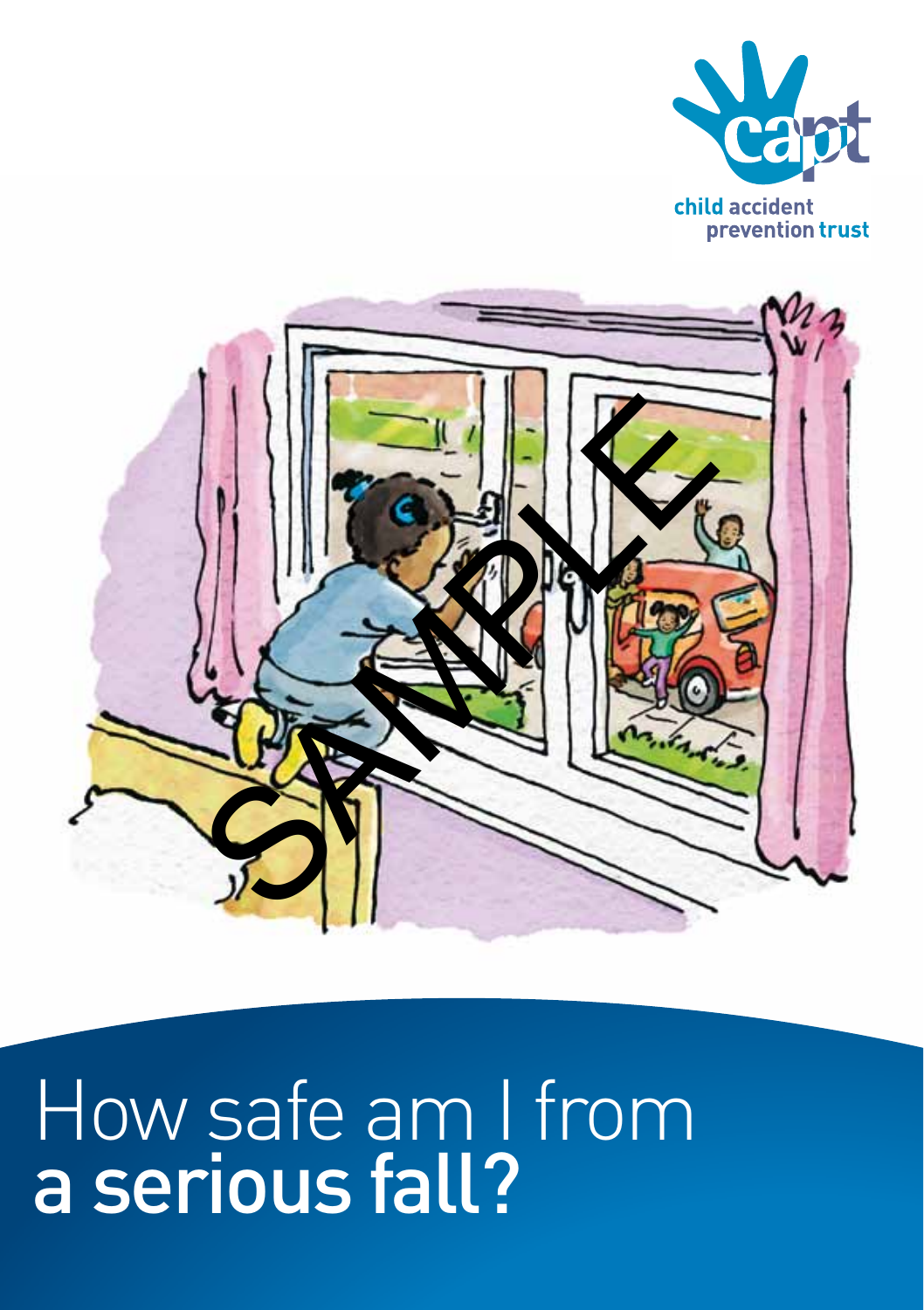



# How safe am I from a serious fall?